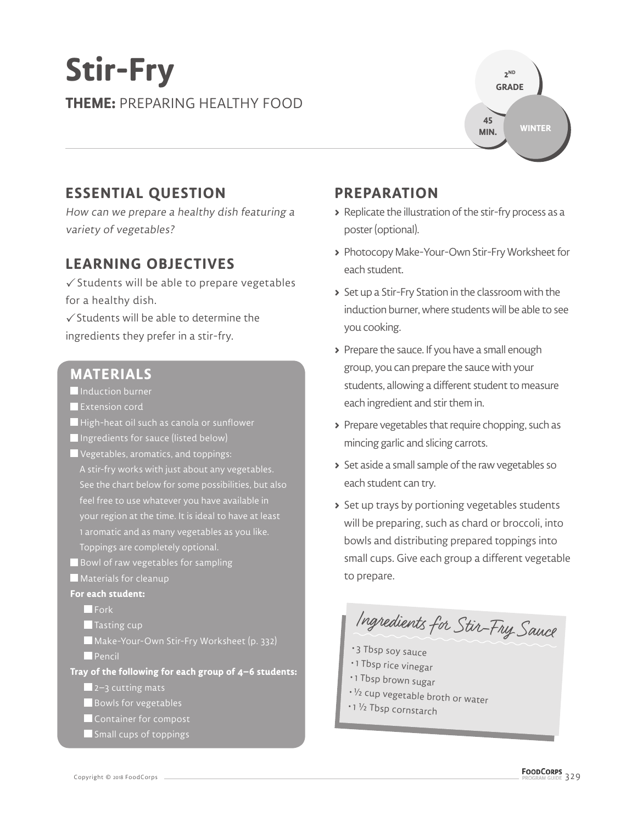# **Stir-Fry THEME:** PREPARING HEALTHY FOOD



## **ESSENTIAL QUESTION**

How can we prepare a healthy dish featuring a variety of vegetables?

## **LEARNING OBJECTIVES**

 $\checkmark$  Students will be able to prepare vegetables for a healthy dish.

 $\checkmark$  Students will be able to determine the ingredients they prefer in a stir-fry.

#### **MATERIALS**

- **Induction burner**
- **Extension cord**
- High-heat oil such as canola or sunflower
- Ingredients for sauce (listed below)
- Vegetables, aromatics, and toppings:
- A stir-fry works with just about any vegetables. See the chart below for some possibilities, but also feel free to use whatever you have available in your region at the time. It is ideal to have at least 1 aromatic and as many vegetables as you like. Toppings are completely optional.
- Bowl of raw vegetables for sampling
- **Materials for cleanup**

#### **For each student:**

**Fork** 

- Tasting cup
- Make-Your-Own Stir-Fry Worksheet (p. 332) **Pencil**

**Tray of the following for each group of 4–6 students:**

 $\blacksquare$  2–3 cutting mats

- Bowls for vegetables
- Container for compost
- Small cups of toppings

### **PREPARATION**

- **>** Replicate the illustration of the stir-fry process as a poster (optional).
- **>** Photocopy Make-Your-Own Stir-Fry Worksheet for each student.
- **>** Set up a Stir-Fry Station in the classroom with the induction burner, where students will be able to see you cooking.
- **>** Prepare the sauce. If you have a small enough group, you can prepare the sauce with your students, allowing a different student to measure each ingredient and stir them in.
- **>** Prepare vegetables that require chopping, such as mincing garlic and slicing carrots.
- **>** Set aside a small sample of the raw vegetables so each student can try.
- **>** Set up trays by portioning vegetables students will be preparing, such as chard or broccoli, into bowls and distributing prepared toppings into small cups. Give each group a different vegetable to prepare.

Ingredients for Stir-Fry Sauce

- 3 Tbsp soy sauce
- 1 Tbsp rice vinegar
- 1 Tbsp brown sugar
- <sup>½</sup> cup vegetable broth or water
- 1 <sup>½</sup> Tbsp cornstarch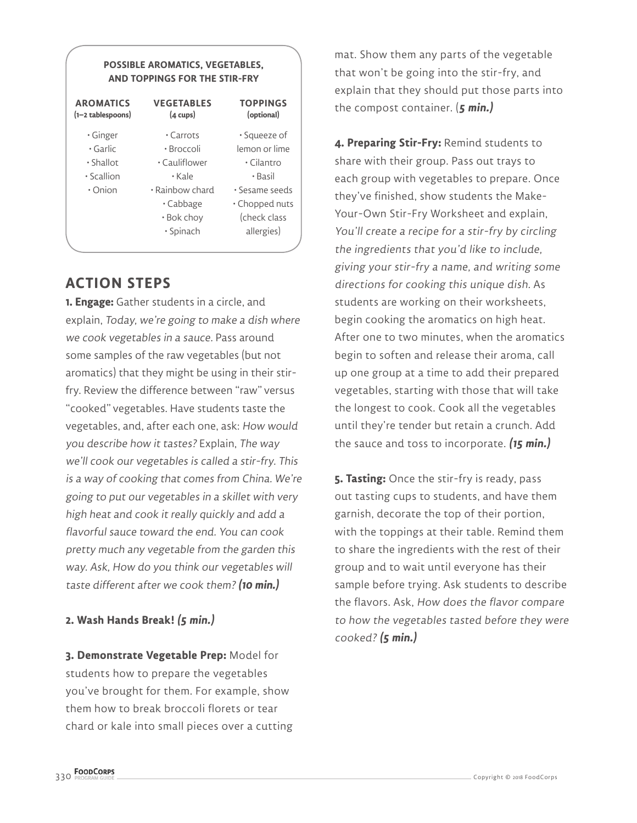#### **POSSIBLE AROMATICS, VEGETABLES, AND TOPPINGS FOR THE STIR-FRY**

| <b>AROMATICS</b><br>(1–2 tablespoons) | <b>VEGETABLES</b><br>$(4 \text{ cups})$ | <b>TOPPINGS</b><br>(optional) |  |
|---------------------------------------|-----------------------------------------|-------------------------------|--|
| • Ginger                              | $\cdot$ Carrots                         | • Squeeze of                  |  |
| • Garlic                              | • Broccoli                              | lemon or lime                 |  |
| $\cdot$ Shallot                       | • Cauliflower                           | $\cdot$ Cilantro              |  |
| • Scallion                            | $\cdot$ Kale                            | • Basil                       |  |
| • Onion                               | • Rainbow chard                         | • Sesame seeds                |  |
|                                       | • Cabbage                               | • Chopped nuts                |  |
|                                       | • Bok choy                              | (check class                  |  |
|                                       | • Spinach                               | allergies)                    |  |
|                                       |                                         |                               |  |

#### **ACTION STEPS**

**1. Engage:** Gather students in a circle, and explain, Today, we're going to make a dish where we cook vegetables in a sauce. Pass around some samples of the raw vegetables (but not aromatics) that they might be using in their stirfry. Review the difference between "raw" versus "cooked" vegetables. Have students taste the vegetables, and, after each one, ask: How would you describe how it tastes? Explain, The way we'll cook our vegetables is called a stir-fry. This is a way of cooking that comes from China. We're going to put our vegetables in a skillet with very high heat and cook it really quickly and add a flavorful sauce toward the end. You can cook pretty much any vegetable from the garden this way. Ask, How do you think our vegetables will taste different after we cook them?**(10 min.)**

#### **2. Wash Hands Break! (5 min.)**

**3. Demonstrate Vegetable Prep:** Model for students how to prepare the vegetables you've brought for them. For example, show them how to break broccoli florets or tear chard or kale into small pieces over a cutting mat. Show them any parts of the vegetable that won't be going into the stir-fry, and explain that they should put those parts into the compost container. (**5 min.)**

**4. Preparing Stir-Fry:** Remind students to share with their group. Pass out trays to each group with vegetables to prepare. Once they've finished, show students the Make-Your-Own Stir-Fry Worksheet and explain, You'll create a recipe for a stir-fry by circling the ingredients that you'd like to include, giving your stir-fry a name, and writing some directions for cooking this unique dish. As students are working on their worksheets, begin cooking the aromatics on high heat. After one to two minutes, when the aromatics begin to soften and release their aroma, call up one group at a time to add their prepared vegetables, starting with those that will take the longest to cook. Cook all the vegetables until they're tender but retain a crunch. Add the sauce and toss to incorporate. **(15 min.)**

**5. Tasting:** Once the stir-fry is ready, pass out tasting cups to students, and have them garnish, decorate the top of their portion, with the toppings at their table. Remind them to share the ingredients with the rest of their group and to wait until everyone has their sample before trying. Ask students to describe the flavors. Ask, How does the flavor compare to how the vegetables tasted before they were cooked? **(5 min.)**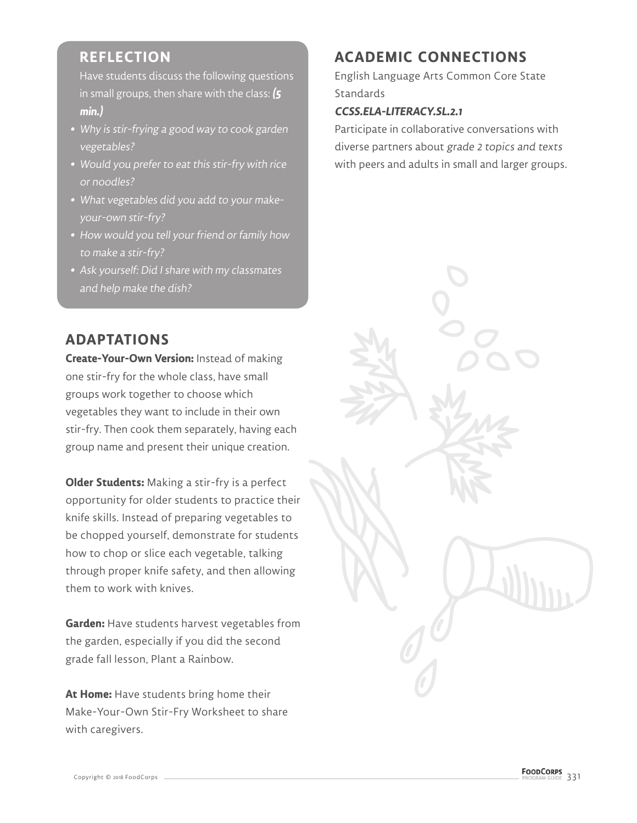### **REFLECTION**

Have students discuss the following questions in small groups, then share with the class: **(5 min.)**

- **•** Why is stir-frying a good way to cook garden vegetables?
- **•** Would you prefer to eat this stir-fry with rice or noodles?
- **•** What vegetables did you add to your makeyour-own stir-fry?
- **•** How would you tell your friend or family how to make a stir-fry?
- **•** Ask yourself: Did I share with my classmates and help make the dish?

#### **ADAPTATIONS**

**Create-Your-Own Version:** Instead of making one stir-fry for the whole class, have small groups work together to choose which vegetables they want to include in their own stir-fry. Then cook them separately, having each group name and present their unique creation.

**Older Students:** Making a stir-fry is a perfect opportunity for older students to practice their knife skills. Instead of preparing vegetables to be chopped yourself, demonstrate for students how to chop or slice each vegetable, talking through proper knife safety, and then allowing them to work with knives.

**Garden:** Have students harvest vegetables from the garden, especially if you did the second grade fall lesson, Plant a Rainbow.

**At Home:** Have students bring home their Make-Your-Own Stir-Fry Worksheet to share with caregivers.

## **ACADEMIC CONNECTIONS**

English Language Arts Common Core State **Standards** 

#### **CCSS.ELA-LITERACY.SL.2.1**

Participate in collaborative conversations with diverse partners about grade 2 topics and texts with peers and adults in small and larger groups.